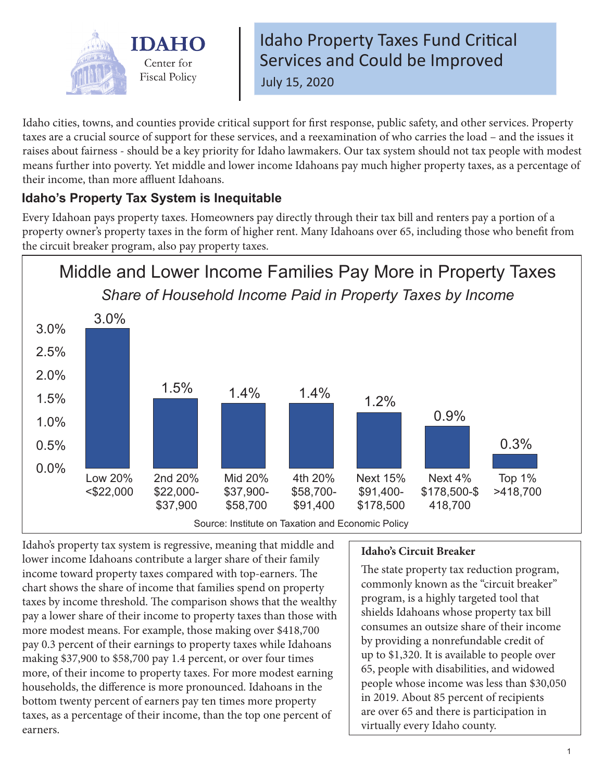

Idaho Property Taxes Fund Critical Services and Could be Improved July 15, 2020

Idaho cities, towns, and counties provide critical support for first response, public safety, and other services. Property taxes are a crucial source of support for these services, and a reexamination of who carries the load – and the issues it raises about fairness - should be a key priority for Idaho lawmakers. Our tax system should not tax people with modest means further into poverty. Yet middle and lower income Idahoans pay much higher property taxes, as a percentage of their income, than more affluent Idahoans.

## **Idaho's Property Tax System is Inequitable**

Every Idahoan pays property taxes. Homeowners pay directly through their tax bill and renters pay a portion of a property owner's property taxes in the form of higher rent. Many Idahoans over 65, including those who benefit from the circuit breaker program, also pay property taxes.



Idaho's property tax system is regressive, meaning that middle and lower income Idahoans contribute a larger share of their family income toward property taxes compared with top-earners. The chart shows the share of income that families spend on property taxes by income threshold. The comparison shows that the wealthy pay a lower share of their income to property taxes than those with more modest means. For example, those making over \$418,700 pay 0.3 percent of their earnings to property taxes while Idahoans making \$37,900 to \$58,700 pay 1.4 percent, or over four times more, of their income to property taxes. For more modest earning households, the difference is more pronounced. Idahoans in the bottom twenty percent of earners pay ten times more property taxes, as a percentage of their income, than the top one percent of earners.

## **Idaho's Circuit Breaker**

The state property tax reduction program, commonly known as the "circuit breaker" program, is a highly targeted tool that shields Idahoans whose property tax bill consumes an outsize share of their income by providing a nonrefundable credit of up to \$1,320. It is available to people over 65, people with disabilities, and widowed people whose income was less than \$30,050 in 2019. About 85 percent of recipients are over 65 and there is participation in virtually every Idaho county.